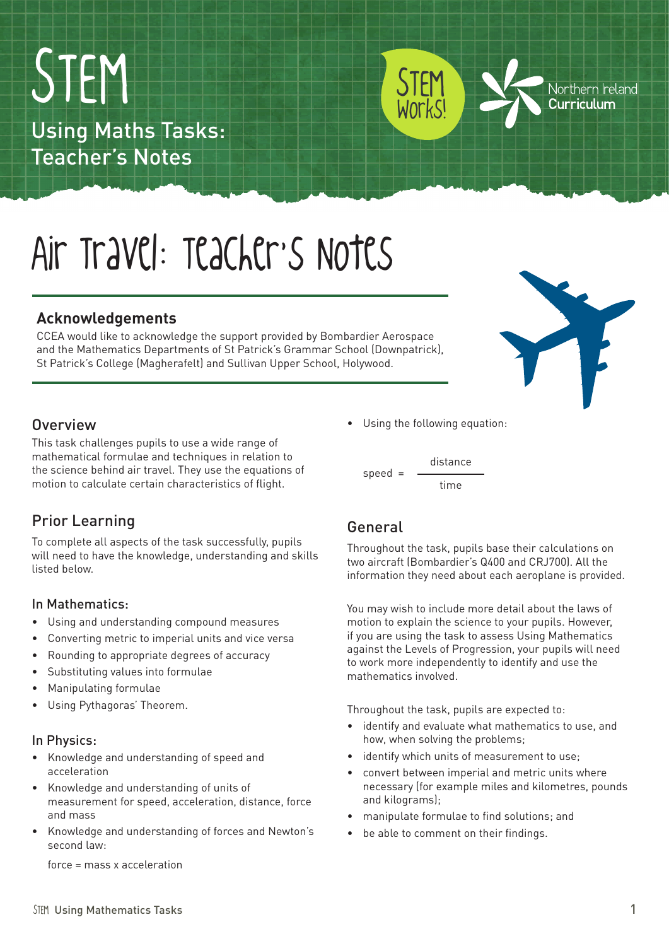STEM Using Mathematics Tasks 1

# Air Travel: Teacher's Notes

#### **Acknowledgements**

Using Maths Tasks:

Teacher's Notes

STEM

CCEA would like to acknowledge the support provided by Bombardier Aerospace and the Mathematics Departments of St Patrick's Grammar School (Downpatrick), St Patrick's College (Magherafelt) and Sullivan Upper School, Holywood.

#### **Overview**

This task challenges pupils to use a wide range of mathematical formulae and techniques in relation to the science behind air travel. They use the equations of motion to calculate certain characteristics of flight.

### Prior Learning

To complete all aspects of the task successfully, pupils will need to have the knowledge, understanding and skills listed below.

#### In Mathematics:

- • Using and understanding compound measures
- • Converting metric to imperial units and vice versa
- • Rounding to appropriate degrees of accuracy
- Substituting values into formulae
- • Manipulating formulae
- • Using Pythagoras' Theorem.

#### In Physics:

- Knowledge and understanding of speed and acceleration
- • Knowledge and understanding of units of measurement for speed, acceleration, distance, force and mass
- Knowledge and understanding of forces and Newton's second law:

force = mass x acceleration

• Using the following equation:

speed = distance time

### General

Throughout the task, pupils base their calculations on two aircraft (Bombardier's Q400 and CRJ700). All the information they need about each aeroplane is provided.

You may wish to include more detail about the laws of motion to explain the science to your pupils. However, if you are using the task to assess Using Mathematics against the Levels of Progression, your pupils will need to work more independently to identify and use the mathematics involved.

Throughout the task, pupils are expected to:

- • identify and evaluate what mathematics to use, and how, when solving the problems;
- identify which units of measurement to use;
- convert between imperial and metric units where necessary (for example miles and kilometres, pounds and kilograms);
- • manipulate formulae to find solutions; and
- be able to comment on their findings.





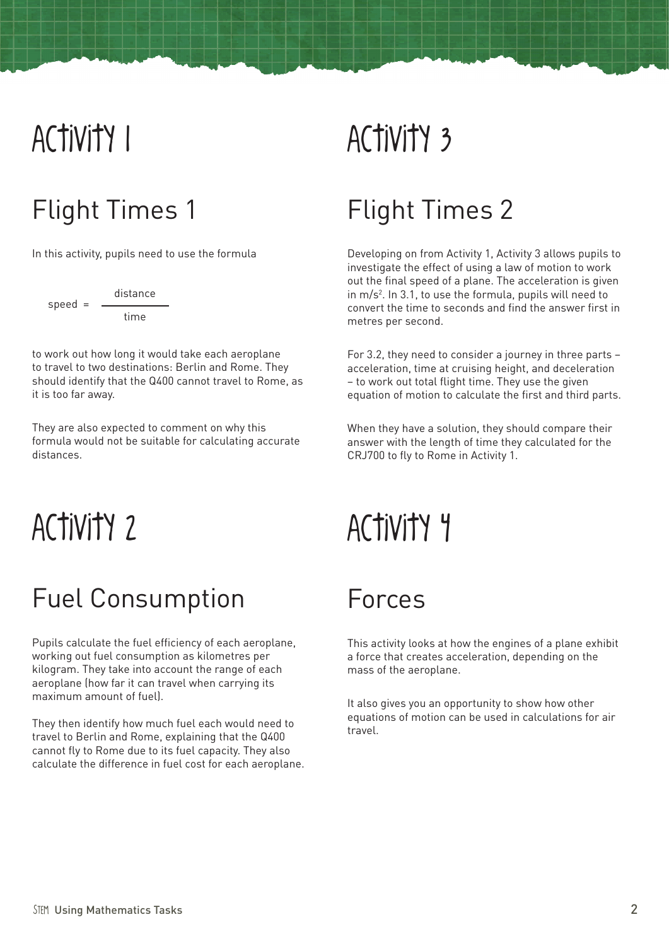## Activity 1

### Flight Times 1

In this activity, pupils need to use the formula

 $speed =$ distance time

to work out how long it would take each aeroplane to travel to two destinations: Berlin and Rome. They should identify that the Q400 cannot travel to Rome, as it is too far away.

They are also expected to comment on why this formula would not be suitable for calculating accurate distances.

## Activity 2

### Fuel Consumption

Pupils calculate the fuel efficiency of each aeroplane, working out fuel consumption as kilometres per kilogram. They take into account the range of each aeroplane (how far it can travel when carrying its maximum amount of fuel).

They then identify how much fuel each would need to travel to Berlin and Rome, explaining that the Q400 cannot fly to Rome due to its fuel capacity. They also calculate the difference in fuel cost for each aeroplane.

## Activity 3

### Flight Times 2

Developing on from Activity 1, Activity 3 allows pupils to investigate the effect of using a law of motion to work out the final speed of a plane. The acceleration is given in m/s2 . In 3.1, to use the formula, pupils will need to convert the time to seconds and find the answer first in metres per second.

For 3.2, they need to consider a journey in three parts – acceleration, time at cruising height, and deceleration – to work out total flight time. They use the given equation of motion to calculate the first and third parts.

When they have a solution, they should compare their answer with the length of time they calculated for the CRJ700 to fly to Rome in Activity 1.

## Activity 4

### Forces

This activity looks at how the engines of a plane exhibit a force that creates acceleration, depending on the mass of the aeroplane.

It also gives you an opportunity to show how other equations of motion can be used in calculations for air travel.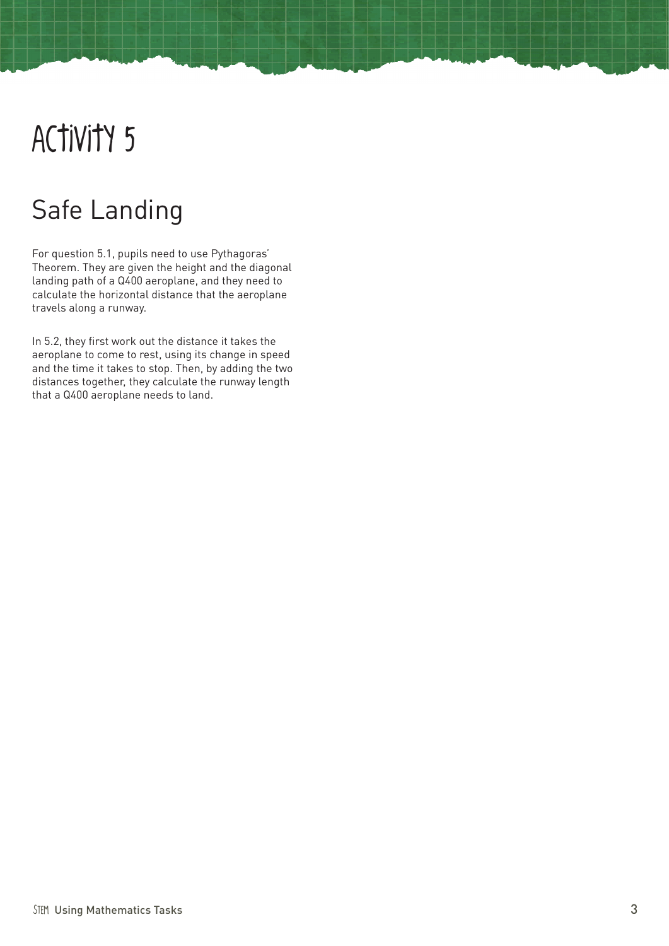## Activity 5

### Safe Landing

For question 5.1, pupils need to use Pythagoras' Theorem. They are given the height and the diagonal landing path of a Q400 aeroplane, and they need to calculate the horizontal distance that the aeroplane travels along a runway.

In 5.2, they first work out the distance it takes the aeroplane to come to rest, using its change in speed and the time it takes to stop. Then, by adding the two distances together, they calculate the runway length that a Q400 aeroplane needs to land.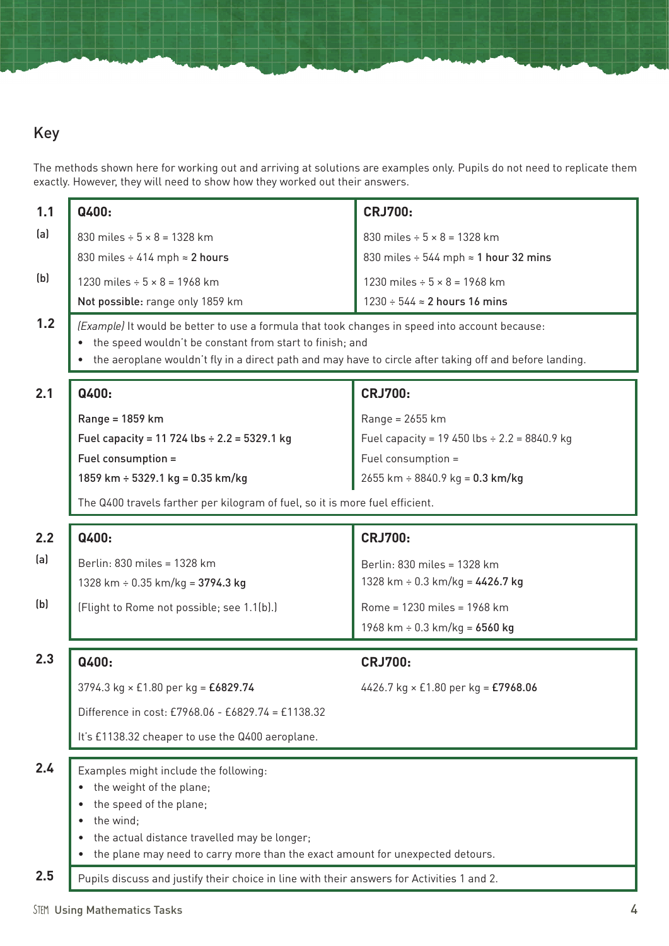### Key

The methods shown here for working out and arriving at solutions are examples only. Pupils do not need to replicate them exactly. However, they will need to show how they worked out their answers.

| 1.1 | Q400:                                                                                                                                                      | <b>CRJ700:</b>                                                      |  |  |  |  |
|-----|------------------------------------------------------------------------------------------------------------------------------------------------------------|---------------------------------------------------------------------|--|--|--|--|
| (a) | 830 miles $\div$ 5 $\times$ 8 = 1328 km                                                                                                                    | 830 miles $\div$ 5 $\times$ 8 = 1328 km                             |  |  |  |  |
|     | 830 miles $\div$ 414 mph $\approx$ 2 hours                                                                                                                 | 830 miles $\div$ 544 mph $\approx$ 1 hour 32 mins                   |  |  |  |  |
| (b) |                                                                                                                                                            |                                                                     |  |  |  |  |
|     | 1230 miles $\div$ 5 $\times$ 8 = 1968 km                                                                                                                   | 1230 miles $\div$ 5 $\times$ 8 = 1968 km                            |  |  |  |  |
| 1.2 | 1230 ÷ 544 ≈ 2 hours 16 mins<br>Not possible: range only 1859 km                                                                                           |                                                                     |  |  |  |  |
|     | (Example) It would be better to use a formula that took changes in speed into account because:<br>the speed wouldn't be constant from start to finish; and |                                                                     |  |  |  |  |
|     | the aeroplane wouldn't fly in a direct path and may have to circle after taking off and before landing.                                                    |                                                                     |  |  |  |  |
|     |                                                                                                                                                            |                                                                     |  |  |  |  |
| 2.1 | Q400:                                                                                                                                                      | <b>CRJ700:</b>                                                      |  |  |  |  |
|     | Range = 1859 km                                                                                                                                            | Range = 2655 km                                                     |  |  |  |  |
|     | Fuel capacity = 11 724 lbs $\div$ 2.2 = 5329.1 kg                                                                                                          | Fuel capacity = 19 450 lbs $\div$ 2.2 = 8840.9 kg                   |  |  |  |  |
|     | Fuel consumption =                                                                                                                                         | Fuel consumption =                                                  |  |  |  |  |
|     | 1859 km ÷ 5329.1 kg = 0.35 km/kg                                                                                                                           | $2655$ km ÷ 8840.9 kg = 0.3 km/kg                                   |  |  |  |  |
|     | The Q400 travels farther per kilogram of fuel, so it is more fuel efficient.                                                                               |                                                                     |  |  |  |  |
| 2.2 | Q400:                                                                                                                                                      | <b>CRJ700:</b>                                                      |  |  |  |  |
| (a) | Berlin: 830 miles = 1328 km                                                                                                                                |                                                                     |  |  |  |  |
|     | 1328 km $\div$ 0.35 km/kg = 3794.3 kg                                                                                                                      | Berlin: 830 miles = 1328 km<br>1328 km $\div$ 0.3 km/kg = 4426.7 kg |  |  |  |  |
| (b) |                                                                                                                                                            |                                                                     |  |  |  |  |
|     | (Flight to Rome not possible; see 1.1(b).)                                                                                                                 | Rome = 1230 miles = 1968 km                                         |  |  |  |  |
|     |                                                                                                                                                            | 1968 km $\div$ 0.3 km/kg = 6560 kg                                  |  |  |  |  |
| 2.3 | Q400:                                                                                                                                                      | <b>CRJ700:</b>                                                      |  |  |  |  |
|     | 3794.3 kg × £1.80 per kg = £6829.74                                                                                                                        | 4426.7 kg $\times$ £1.80 per kg = £7968.06                          |  |  |  |  |
|     | Difference in cost: £7968.06 - £6829.74 = £1138.32                                                                                                         |                                                                     |  |  |  |  |
|     | It's £1138.32 cheaper to use the Q400 aeroplane.                                                                                                           |                                                                     |  |  |  |  |
| 2.4 | Examples might include the following:                                                                                                                      |                                                                     |  |  |  |  |
|     | the weight of the plane;                                                                                                                                   |                                                                     |  |  |  |  |
|     | the speed of the plane;                                                                                                                                    |                                                                     |  |  |  |  |
|     | the wind;                                                                                                                                                  |                                                                     |  |  |  |  |
|     |                                                                                                                                                            |                                                                     |  |  |  |  |
|     | the plane may need to carry more than the exact amount for unexpected detours.                                                                             |                                                                     |  |  |  |  |
| 2.5 | Pupils discuss and justify their choice in line with their answers for Activities 1 and 2.                                                                 |                                                                     |  |  |  |  |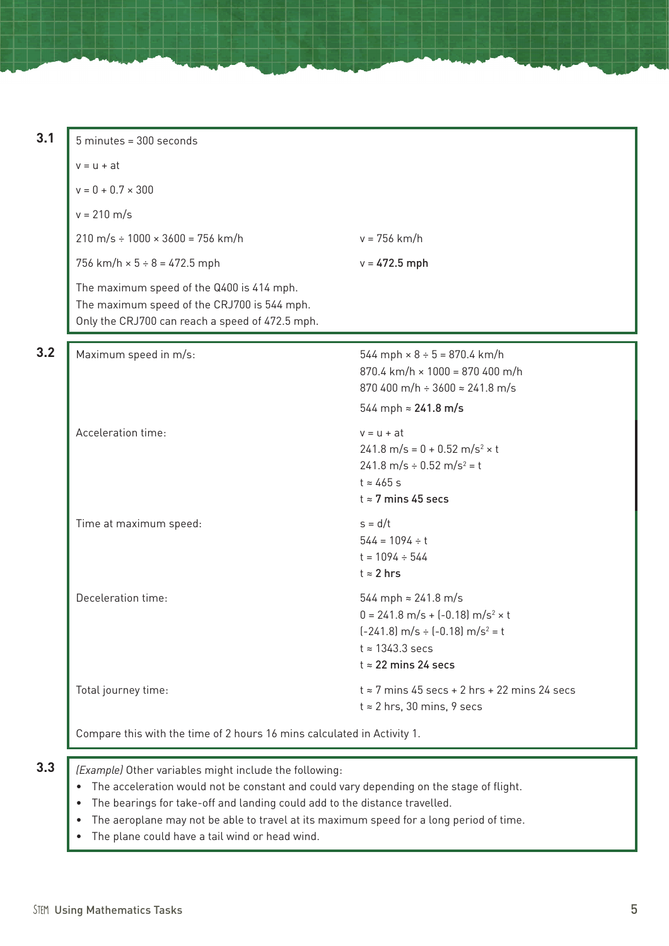| $5$ minutes = $300$ seconds                                                                                                                 |                                                                                                                                                                                                           |  |  |
|---------------------------------------------------------------------------------------------------------------------------------------------|-----------------------------------------------------------------------------------------------------------------------------------------------------------------------------------------------------------|--|--|
| $v = u + at$                                                                                                                                |                                                                                                                                                                                                           |  |  |
| $v = 0 + 0.7 \times 300$                                                                                                                    |                                                                                                                                                                                                           |  |  |
| $v = 210 \text{ m/s}$                                                                                                                       |                                                                                                                                                                                                           |  |  |
| $210 \text{ m/s} \div 1000 \times 3600 = 756 \text{ km/h}$                                                                                  | $v = 756$ km/h                                                                                                                                                                                            |  |  |
| 756 km/h $\times$ 5 ÷ 8 = 472.5 mph                                                                                                         | $v = 472.5$ mph                                                                                                                                                                                           |  |  |
| The maximum speed of the Q400 is 414 mph.<br>The maximum speed of the CRJ700 is 544 mph.<br>Only the CRJ700 can reach a speed of 472.5 mph. |                                                                                                                                                                                                           |  |  |
| Maximum speed in m/s:                                                                                                                       | $544$ mph $\times$ 8 ÷ 5 = 870.4 km/h<br>$870.4$ km/h $\times$ 1000 = 870 400 m/h<br>870 400 m/h $\div$ 3600 $\approx$ 241.8 m/s<br>544 mph $\approx$ 241.8 m/s                                           |  |  |
| Acceleration time:                                                                                                                          | $v = u + at$<br>$241.8 \text{ m/s} = 0 + 0.52 \text{ m/s}^2 \times t$<br>$241.8 \text{ m/s} \div 0.52 \text{ m/s}^2 = t$<br>$t \approx 465$ s<br>$t \approx 7$ mins 45 secs                               |  |  |
| Time at maximum speed:                                                                                                                      | $s = d/t$<br>$544 = 1094 \div t$<br>$t = 1094 \div 544$<br>$t \approx 2$ hrs                                                                                                                              |  |  |
| Deceleration time:                                                                                                                          | 544 mph $\approx 241.8$ m/s<br>$0 = 241.8 \text{ m/s} + (-0.18) \text{ m/s}^2 \times t$<br>$(-241.8)$ m/s $\div$ $(-0.18)$ m/s <sup>2</sup> = t<br>$t \approx 1343.3$ secs<br>$t \approx 22$ mins 24 secs |  |  |
| Total journey time:                                                                                                                         | $t \approx 7$ mins 45 secs + 2 hrs + 22 mins 24 secs<br>$t \approx 2$ hrs, 30 mins, 9 secs                                                                                                                |  |  |

- **3.3** *(Example)* Other variables might include the following:
	- The acceleration would not be constant and could vary depending on the stage of flight.
	- The bearings for take-off and landing could add to the distance travelled.
	- The aeroplane may not be able to travel at its maximum speed for a long period of time.
	- The plane could have a tail wind or head wind.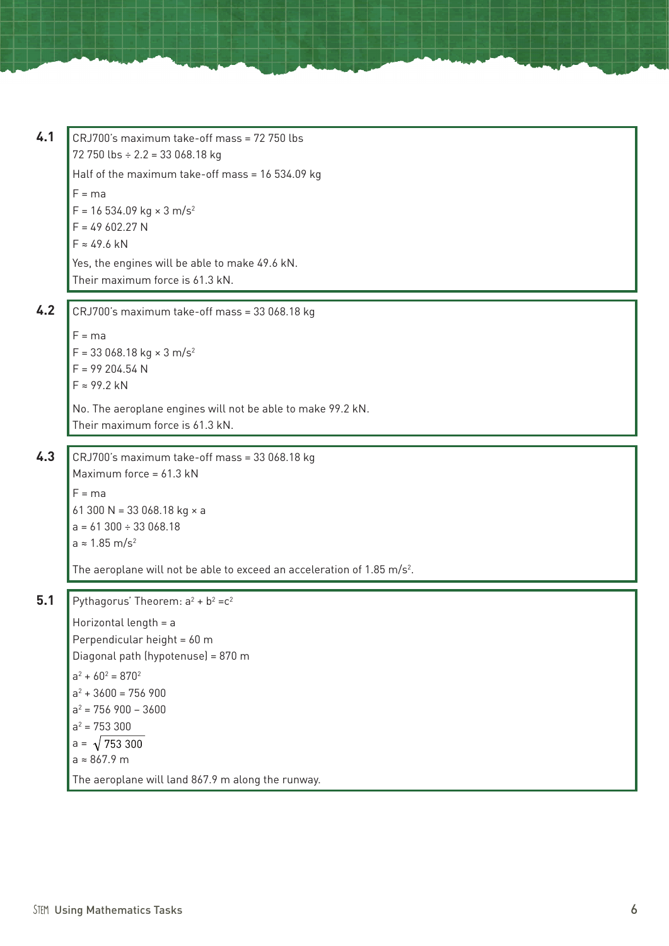**4.1**  $CRJ700's maximum take-off mass = 72 750 lbs$ 72 750 lbs  $\div$  2.2 = 33 068.18 kg Half of the maximum take-off mass = 16 534.09 kg  $F = ma$  $F = 16534.09$  kg  $\times 3$  m/s<sup>2</sup>  $F = 49602.27 N$  $F \approx 49.6$  kN Yes, the engines will be able to make 49.6 kN. Their maximum force is 61.3 kN. **4.2** CRJ700's maximum take-off mass = 33 068.18 kg  $F = ma$  $F = 33068.18$  kg  $\times$  3 m/s<sup>2</sup>  $F = 99204.54 N$ F ≈ 99.2 kN No. The aeroplane engines will not be able to make 99.2 kN. Their maximum force is 61.3 kN. **4.3** CRJ700's maximum take-off mass = 33 068.18 kg Maximum force =  $61.3$  kN  $F = ma$ 61 300 N = 33 068.18 kg  $\times$  a  $a = 61300 \div 33068.18$ a  $\approx$  1.85 m/s<sup>2</sup> The aeroplane will not be able to exceed an acceleration of 1.85 m/s<sup>2</sup>. **5.1** Pythagorus' Theorem:  $a^2 + b^2 = c^2$ 

Horizontal length = a Perpendicular height = 60 m Diagonal path (hypotenuse) = 870 m  $a^2 + 60^2 = 870^2$  $a^2 + 3600 = 756900$  $a^2 = 756900 - 3600$  $a^2 = 753300$  $a = \sqrt{753300}$ a ≈ 867.9 m The aeroplane will land 867.9 m along the runway.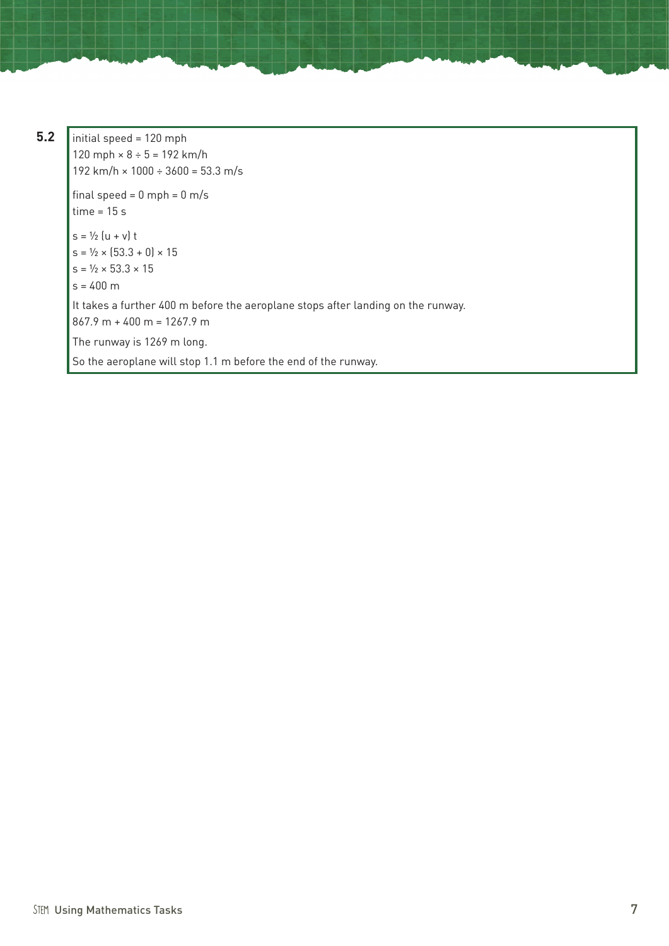**5.2** initial speed = 120 mph 120 mph  $\times$  8 ÷ 5 = 192 km/h 192 km/h  $\times$  1000 ÷ 3600 = 53.3 m/s final speed =  $0$  mph =  $0$  m/s time = 15 s  $s = \frac{1}{2} (u + v) t$  $s = \frac{1}{2} \times [53.3 + 0] \times 15$  $s = \frac{1}{2} \times 53.3 \times 15$  $s = 400$  m It takes a further 400 m before the aeroplane stops after landing on the runway.  $867.9 m + 400 m = 1267.9 m$ The runway is 1269 m long. So the aeroplane will stop 1.1 m before the end of the runway.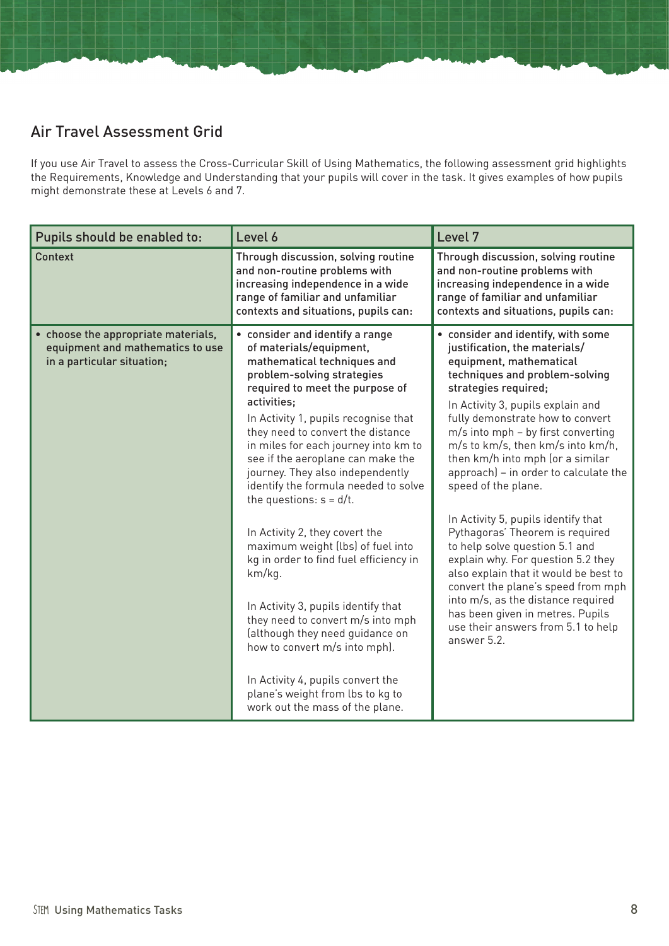#### Air Travel Assessment Grid

If you use Air Travel to assess the Cross-Curricular Skill of Using Mathematics, the following assessment grid highlights the Requirements, Knowledge and Understanding that your pupils will cover in the task. It gives examples of how pupils might demonstrate these at Levels 6 and 7.

| Pupils should be enabled to:                                                                          | Level 6                                                                                                                                                                                                                                                                                                                                                                                                                                                                                                                                                                                                                                                                                                                                                                                                                              | Level 7                                                                                                                                                                                                                                                                                                                                                                                                                                                                                                                                                                                                                                                                                                                                                                          |
|-------------------------------------------------------------------------------------------------------|--------------------------------------------------------------------------------------------------------------------------------------------------------------------------------------------------------------------------------------------------------------------------------------------------------------------------------------------------------------------------------------------------------------------------------------------------------------------------------------------------------------------------------------------------------------------------------------------------------------------------------------------------------------------------------------------------------------------------------------------------------------------------------------------------------------------------------------|----------------------------------------------------------------------------------------------------------------------------------------------------------------------------------------------------------------------------------------------------------------------------------------------------------------------------------------------------------------------------------------------------------------------------------------------------------------------------------------------------------------------------------------------------------------------------------------------------------------------------------------------------------------------------------------------------------------------------------------------------------------------------------|
| Context                                                                                               | Through discussion, solving routine<br>and non-routine problems with<br>increasing independence in a wide<br>range of familiar and unfamiliar<br>contexts and situations, pupils can:                                                                                                                                                                                                                                                                                                                                                                                                                                                                                                                                                                                                                                                | Through discussion, solving routine<br>and non-routine problems with<br>increasing independence in a wide<br>range of familiar and unfamiliar<br>contexts and situations, pupils can:                                                                                                                                                                                                                                                                                                                                                                                                                                                                                                                                                                                            |
| • choose the appropriate materials,<br>equipment and mathematics to use<br>in a particular situation; | • consider and identify a range<br>of materials/equipment,<br>mathematical techniques and<br>problem-solving strategies<br>required to meet the purpose of<br>activities;<br>In Activity 1, pupils recognise that<br>they need to convert the distance<br>in miles for each journey into km to<br>see if the aeroplane can make the<br>journey. They also independently<br>identify the formula needed to solve<br>the questions: $s = d/t$ .<br>In Activity 2, they covert the<br>maximum weight (lbs) of fuel into<br>kg in order to find fuel efficiency in<br>km/kg.<br>In Activity 3, pupils identify that<br>they need to convert m/s into mph<br>(although they need guidance on<br>how to convert m/s into mph).<br>In Activity 4, pupils convert the<br>plane's weight from lbs to kg to<br>work out the mass of the plane. | • consider and identify, with some<br>justification, the materials/<br>equipment, mathematical<br>techniques and problem-solving<br>strategies required;<br>In Activity 3, pupils explain and<br>fully demonstrate how to convert<br>m/s into mph - by first converting<br>m/s to km/s, then km/s into km/h,<br>then km/h into mph (or a similar<br>approach) - in order to calculate the<br>speed of the plane.<br>In Activity 5, pupils identify that<br>Pythagoras' Theorem is required<br>to help solve question 5.1 and<br>explain why. For question 5.2 they<br>also explain that it would be best to<br>convert the plane's speed from mph<br>into m/s, as the distance required<br>has been given in metres. Pupils<br>use their answers from 5.1 to help<br>answer 5.2. |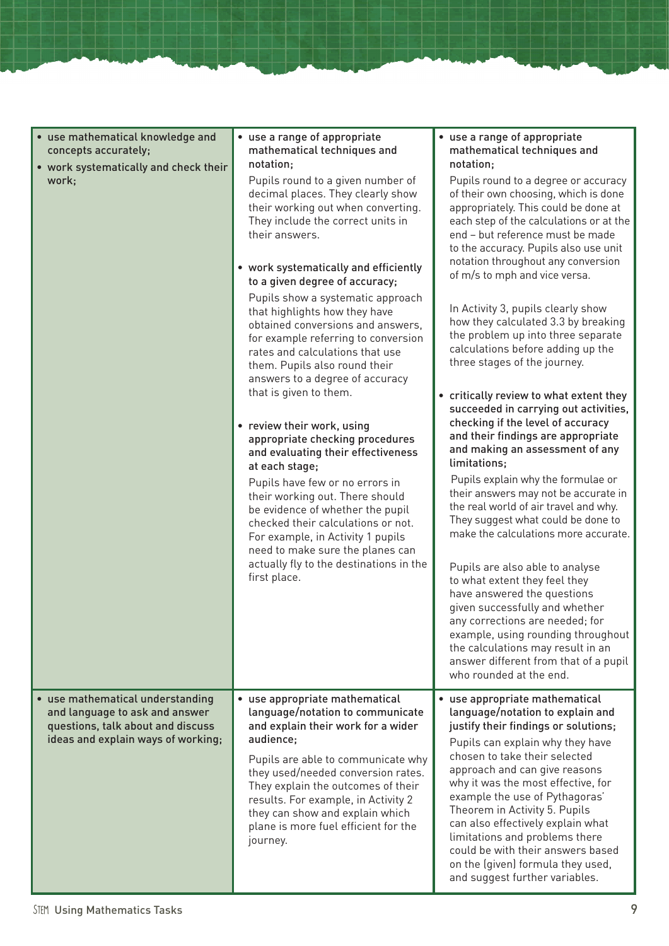| • use mathematical knowledge and<br>concepts accurately;<br>• work systematically and check their<br>work;                                    | • use a range of appropriate<br>mathematical techniques and<br>notation;<br>Pupils round to a given number of<br>decimal places. They clearly show<br>their working out when converting.<br>They include the correct units in<br>their answers.<br>• work systematically and efficiently<br>to a given degree of accuracy;<br>Pupils show a systematic approach<br>that highlights how they have<br>obtained conversions and answers,<br>for example referring to conversion<br>rates and calculations that use<br>them. Pupils also round their<br>answers to a degree of accuracy<br>that is given to them.<br>• review their work, using<br>appropriate checking procedures<br>and evaluating their effectiveness<br>at each stage;<br>Pupils have few or no errors in<br>their working out. There should<br>be evidence of whether the pupil<br>checked their calculations or not.<br>For example, in Activity 1 pupils<br>need to make sure the planes can<br>actually fly to the destinations in the<br>first place. | • use a range of appropriate<br>mathematical techniques and<br>notation;<br>Pupils round to a degree or accuracy<br>of their own choosing, which is done<br>appropriately. This could be done at<br>each step of the calculations or at the<br>end - but reference must be made<br>to the accuracy. Pupils also use unit<br>notation throughout any conversion<br>of m/s to mph and vice versa.<br>In Activity 3, pupils clearly show<br>how they calculated 3.3 by breaking<br>the problem up into three separate<br>calculations before adding up the<br>three stages of the journey.<br>• critically review to what extent they<br>succeeded in carrying out activities,<br>checking if the level of accuracy<br>and their findings are appropriate<br>and making an assessment of any<br>limitations;<br>Pupils explain why the formulae or<br>their answers may not be accurate in<br>the real world of air travel and why.<br>They suggest what could be done to<br>make the calculations more accurate.<br>Pupils are also able to analyse<br>to what extent they feel they<br>have answered the questions<br>given successfully and whether<br>any corrections are needed; for<br>example, using rounding throughout<br>the calculations may result in an<br>answer different from that of a pupil<br>who rounded at the end. |
|-----------------------------------------------------------------------------------------------------------------------------------------------|----------------------------------------------------------------------------------------------------------------------------------------------------------------------------------------------------------------------------------------------------------------------------------------------------------------------------------------------------------------------------------------------------------------------------------------------------------------------------------------------------------------------------------------------------------------------------------------------------------------------------------------------------------------------------------------------------------------------------------------------------------------------------------------------------------------------------------------------------------------------------------------------------------------------------------------------------------------------------------------------------------------------------|---------------------------------------------------------------------------------------------------------------------------------------------------------------------------------------------------------------------------------------------------------------------------------------------------------------------------------------------------------------------------------------------------------------------------------------------------------------------------------------------------------------------------------------------------------------------------------------------------------------------------------------------------------------------------------------------------------------------------------------------------------------------------------------------------------------------------------------------------------------------------------------------------------------------------------------------------------------------------------------------------------------------------------------------------------------------------------------------------------------------------------------------------------------------------------------------------------------------------------------------------------------------------------------------------------------------------------------|
| • use mathematical understanding<br>and language to ask and answer<br>questions, talk about and discuss<br>ideas and explain ways of working; | • use appropriate mathematical<br>language/notation to communicate<br>and explain their work for a wider<br>audience;<br>Pupils are able to communicate why                                                                                                                                                                                                                                                                                                                                                                                                                                                                                                                                                                                                                                                                                                                                                                                                                                                                | • use appropriate mathematical<br>language/notation to explain and<br>justify their findings or solutions;<br>Pupils can explain why they have<br>chosen to take their selected<br>approach and can give reasons                                                                                                                                                                                                                                                                                                                                                                                                                                                                                                                                                                                                                                                                                                                                                                                                                                                                                                                                                                                                                                                                                                                      |
|                                                                                                                                               | they used/needed conversion rates.<br>They explain the outcomes of their<br>results. For example, in Activity 2<br>they can show and explain which<br>plane is more fuel efficient for the<br>journey.                                                                                                                                                                                                                                                                                                                                                                                                                                                                                                                                                                                                                                                                                                                                                                                                                     | why it was the most effective, for<br>example the use of Pythagoras'<br>Theorem in Activity 5. Pupils<br>can also effectively explain what<br>limitations and problems there<br>could be with their answers based<br>on the (given) formula they used,<br>and suggest further variables.                                                                                                                                                                                                                                                                                                                                                                                                                                                                                                                                                                                                                                                                                                                                                                                                                                                                                                                                                                                                                                              |